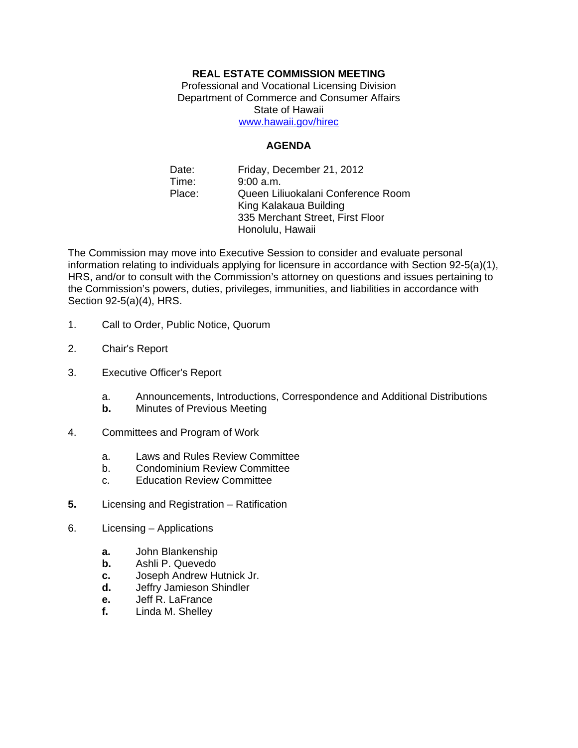## **REAL ESTATE COMMISSION MEETING**

Professional and Vocational Licensing Division Department of Commerce and Consumer Affairs State of Hawaii www.hawaii.gov/hirec

## **AGENDA**

Date: Friday, December 21, 2012 Time: 9:00 a.m. Place: Queen Liliuokalani Conference Room King Kalakaua Building 335 Merchant Street, First Floor Honolulu, Hawaii

The Commission may move into Executive Session to consider and evaluate personal information relating to individuals applying for licensure in accordance with Section 92-5(a)(1), HRS, and/or to consult with the Commission's attorney on questions and issues pertaining to the Commission's powers, duties, privileges, immunities, and liabilities in accordance with Section 92-5(a)(4), HRS.

- 1. Call to Order, Public Notice, Quorum
- 2. Chair's Report
- 3. Executive Officer's Report
	- a. Announcements, Introductions, Correspondence and Additional Distributions
	- **b.** Minutes of Previous Meeting
- 4. Committees and Program of Work
	- a. Laws and Rules Review Committee
	- b. Condominium Review Committee
	- c. Education Review Committee
- **5.** Licensing and Registration Ratification
- 6. Licensing Applications
	- **a.** John Blankenship
	- **b.** Ashli P. Quevedo
	- **c.** Joseph Andrew Hutnick Jr.
	- **d.** Jeffry Jamieson Shindler
	- **e.** Jeff R. LaFrance
	- **f.** Linda M. Shelley